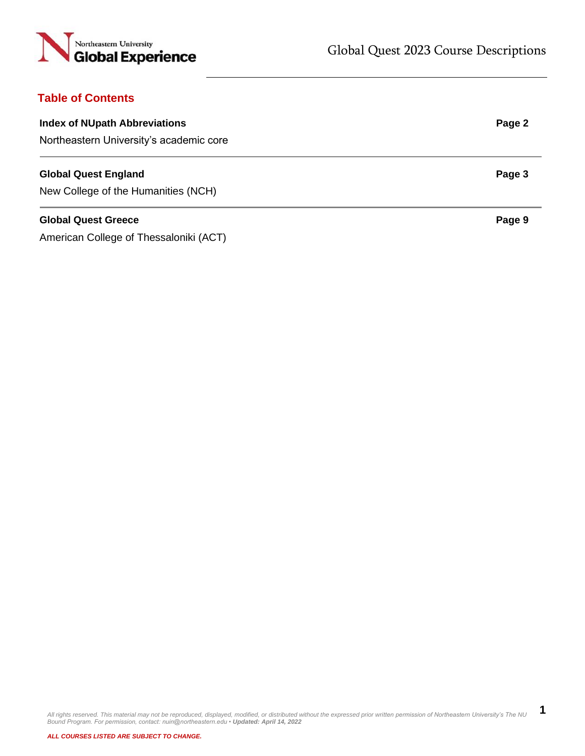

# **Table of Contents**

| <b>Index of NUpath Abbreviations</b> | Page 2 |
|--------------------------------------|--------|
|                                      |        |

Northeastern University's academic core

## **Global Quest England Page 3 Page 3**

New College of the Humanities (NCH)

## **Global Quest Greece** Page 9

American College of Thessaloniki (ACT)

All rights reserved. This material may not be reproduced, displayed, modified, or distributed without the expressed prior written permission of Northeastern University's The NU<br>Bound Program. For permission, contact: nuin@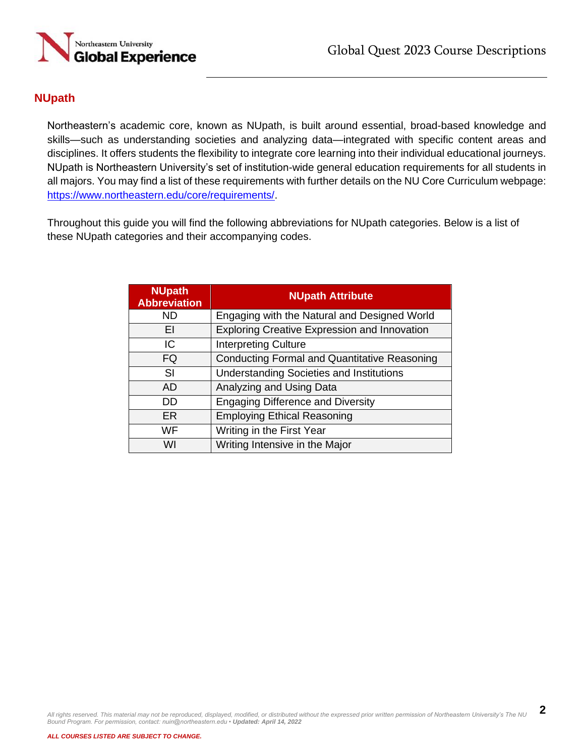

# **NUpath**

Northeastern's academic core, known as NUpath, is built around essential, broad-based knowledge and skills—such as understanding societies and analyzing data—integrated with specific content areas and disciplines. It offers students the flexibility to integrate core learning into their individual educational journeys. NUpath is Northeastern University's set of institution-wide general education requirements for all students in all majors. You may find a list of these requirements with further details on the NU Core Curriculum webpage: [https://www.northeastern.edu/core/requirements/.](https://www.northeastern.edu/core/requirements/)

Throughout this guide you will find the following abbreviations for NUpath categories. Below is a list of these NUpath categories and their accompanying codes.

| <b>NUpath</b><br><b>Abbreviation</b> | <b>NUpath Attribute</b>                             |
|--------------------------------------|-----------------------------------------------------|
| ND                                   | Engaging with the Natural and Designed World        |
| ΕI                                   | <b>Exploring Creative Expression and Innovation</b> |
| IC                                   | <b>Interpreting Culture</b>                         |
| FQ                                   | <b>Conducting Formal and Quantitative Reasoning</b> |
| SI                                   | <b>Understanding Societies and Institutions</b>     |
| AD.                                  | Analyzing and Using Data                            |
| DD                                   | <b>Engaging Difference and Diversity</b>            |
| <b>ER</b>                            | <b>Employing Ethical Reasoning</b>                  |
| WF                                   | Writing in the First Year                           |
| WI                                   | Writing Intensive in the Major                      |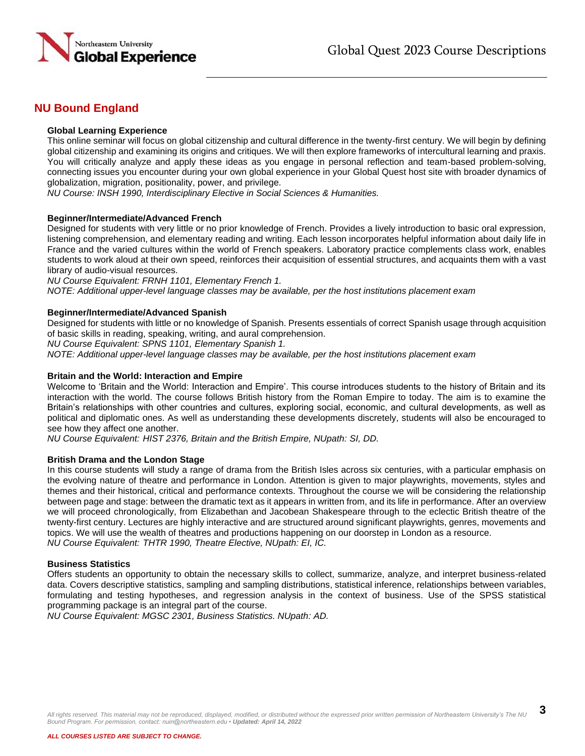

# **NU Bound England**

## **Global Learning Experience**

This online seminar will focus on global citizenship and cultural difference in the twenty-first century. We will begin by defining global citizenship and examining its origins and critiques. We will then explore frameworks of intercultural learning and praxis. You will critically analyze and apply these ideas as you engage in personal reflection and team-based problem-solving, connecting issues you encounter during your own global experience in your Global Quest host site with broader dynamics of globalization, migration, positionality, power, and privilege.

*NU Course: INSH 1990, Interdisciplinary Elective in Social Sciences & Humanities.*

#### **Beginner/Intermediate/Advanced French**

Designed for students with very little or no prior knowledge of French. Provides a lively introduction to basic oral expression, listening comprehension, and elementary reading and writing. Each lesson incorporates helpful information about daily life in France and the varied cultures within the world of French speakers. Laboratory practice complements class work, enables students to work aloud at their own speed, reinforces their acquisition of essential structures, and acquaints them with a vast library of audio-visual resources.

*NU Course Equivalent: FRNH 1101, Elementary French 1.*

*NOTE: Additional upper-level language classes may be available, per the host institutions placement exam*

#### **Beginner/Intermediate/Advanced Spanish**

Designed for students with little or no knowledge of Spanish. Presents essentials of correct Spanish usage through acquisition of basic skills in reading, speaking, writing, and aural comprehension.

*NU Course Equivalent: SPNS 1101, Elementary Spanish 1.*

*NOTE: Additional upper-level language classes may be available, per the host institutions placement exam*

#### **Britain and the World: Interaction and Empire**

Welcome to 'Britain and the World: Interaction and Empire'. This course introduces students to the history of Britain and its interaction with the world. The course follows British history from the Roman Empire to today. The aim is to examine the Britain's relationships with other countries and cultures, exploring social, economic, and cultural developments, as well as political and diplomatic ones. As well as understanding these developments discretely, students will also be encouraged to see how they affect one another.

*NU Course Equivalent: HIST 2376, Britain and the British Empire, NUpath: SI, DD.*

#### **British Drama and the London Stage**

In this course students will study a range of drama from the British Isles across six centuries, with a particular emphasis on the evolving nature of theatre and performance in London. Attention is given to major playwrights, movements, styles and themes and their historical, critical and performance contexts. Throughout the course we will be considering the relationship between page and stage: between the dramatic text as it appears in written from, and its life in performance. After an overview we will proceed chronologically, from Elizabethan and Jacobean Shakespeare through to the eclectic British theatre of the twenty-first century. Lectures are highly interactive and are structured around significant playwrights, genres, movements and topics. We will use the wealth of theatres and productions happening on our doorstep in London as a resource. *NU Course Equivalent: THTR 1990, Theatre Elective, NUpath: EI, IC.*

#### **Business Statistics**

Offers students an opportunity to obtain the necessary skills to collect, summarize, analyze, and interpret business-related data. Covers descriptive statistics, sampling and sampling distributions, statistical inference, relationships between variables, formulating and testing hypotheses, and regression analysis in the context of business. Use of the SPSS statistical programming package is an integral part of the course.

*NU Course Equivalent: MGSC 2301, Business Statistics. NUpath: AD.*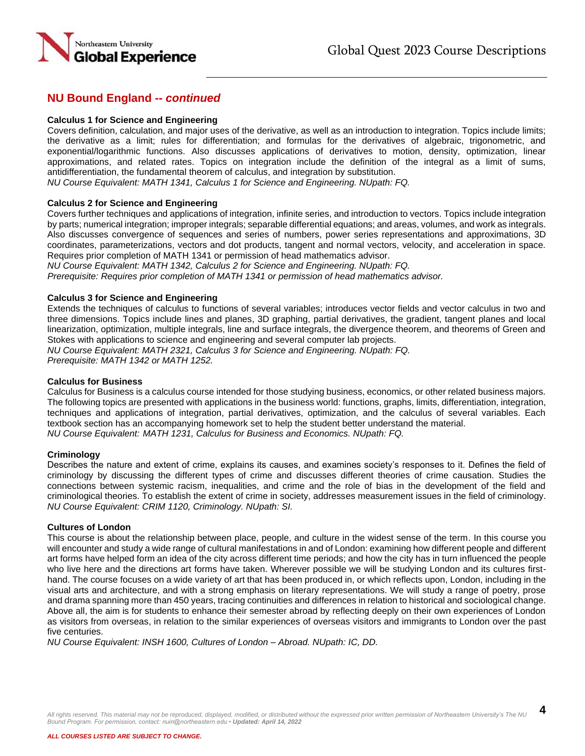

## **Calculus 1 for Science and Engineering**

Covers definition, calculation, and major uses of the derivative, as well as an introduction to integration. Topics include limits; the derivative as a limit; rules for differentiation; and formulas for the derivatives of algebraic, trigonometric, and exponential/logarithmic functions. Also discusses applications of derivatives to motion, density, optimization, linear approximations, and related rates. Topics on integration include the definition of the integral as a limit of sums, antidifferentiation, the fundamental theorem of calculus, and integration by substitution.

*NU Course Equivalent: MATH 1341, Calculus 1 for Science and Engineering. NUpath: FQ.*

## **Calculus 2 for Science and Engineering**

Covers further techniques and applications of integration, infinite series, and introduction to vectors. Topics include integration by parts; numerical integration; improper integrals; separable differential equations; and areas, volumes, and work as integrals. Also discusses convergence of sequences and series of numbers, power series representations and approximations, 3D coordinates, parameterizations, vectors and dot products, tangent and normal vectors, velocity, and acceleration in space. Requires prior completion of MATH 1341 or permission of head mathematics advisor.

*NU Course Equivalent: MATH 1342, Calculus 2 for Science and Engineering. NUpath: FQ. Prerequisite: Requires prior completion of MATH 1341 or permission of head mathematics advisor.*

#### **Calculus 3 for Science and Engineering**

Extends the techniques of calculus to functions of several variables; introduces vector fields and vector calculus in two and three dimensions. Topics include lines and planes, 3D graphing, partial derivatives, the gradient, tangent planes and local linearization, optimization, multiple integrals, line and surface integrals, the divergence theorem, and theorems of Green and Stokes with applications to science and engineering and several computer lab projects.

*NU Course Equivalent: MATH 2321, Calculus 3 for Science and Engineering. NUpath: FQ. Prerequisite: MATH 1342 or MATH 1252.* 

#### **Calculus for Business**

Calculus for Business is a calculus course intended for those studying business, economics, or other related business majors. The following topics are presented with applications in the business world: functions, graphs, limits, differentiation, integration, techniques and applications of integration, partial derivatives, optimization, and the calculus of several variables. Each textbook section has an accompanying homework set to help the student better understand the material. *NU Course Equivalent: MATH 1231, Calculus for Business and Economics. NUpath: FQ.*

## **Criminology**

Describes the nature and extent of crime, explains its causes, and examines society's responses to it. Defines the field of criminology by discussing the different types of crime and discusses different theories of crime causation. Studies the connections between systemic racism, inequalities, and crime and the role of bias in the development of the field and criminological theories. To establish the extent of crime in society, addresses measurement issues in the field of criminology. *NU Course Equivalent: CRIM 1120, Criminology. NUpath: SI.*

#### **Cultures of London**

This course is about the relationship between place, people, and culture in the widest sense of the term. In this course you will encounter and study a wide range of cultural manifestations in and of London: examining how different people and different art forms have helped form an idea of the city across different time periods; and how the city has in turn influenced the people who live here and the directions art forms have taken. Wherever possible we will be studying London and its cultures firsthand. The course focuses on a wide variety of art that has been produced in, or which reflects upon, London, including in the visual arts and architecture, and with a strong emphasis on literary representations. We will study a range of poetry, prose and drama spanning more than 450 years, tracing continuities and differences in relation to historical and sociological change. Above all, the aim is for students to enhance their semester abroad by reflecting deeply on their own experiences of London as visitors from overseas, in relation to the similar experiences of overseas visitors and immigrants to London over the past five centuries.

*NU Course Equivalent: INSH 1600, Cultures of London – Abroad. NUpath: IC, DD.*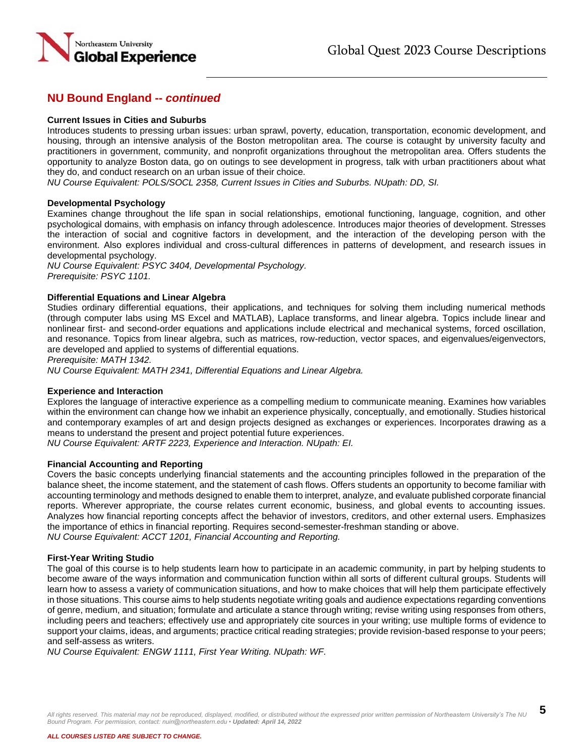

### **Current Issues in Cities and Suburbs**

Introduces students to pressing urban issues: urban sprawl, poverty, education, transportation, economic development, and housing, through an intensive analysis of the Boston metropolitan area. The course is cotaught by university faculty and practitioners in government, community, and nonprofit organizations throughout the metropolitan area. Offers students the opportunity to analyze Boston data, go on outings to see development in progress, talk with urban practitioners about what they do, and conduct research on an urban issue of their choice.

*NU Course Equivalent: POLS/SOCL 2358, Current Issues in Cities and Suburbs. NUpath: DD, SI.*

#### **Developmental Psychology**

Examines change throughout the life span in social relationships, emotional functioning, language, cognition, and other psychological domains, with emphasis on infancy through adolescence. Introduces major theories of development. Stresses the interaction of social and cognitive factors in development, and the interaction of the developing person with the environment. Also explores individual and cross-cultural differences in patterns of development, and research issues in developmental psychology.

*NU Course Equivalent: PSYC 3404, Developmental Psychology. Prerequisite: PSYC 1101.*

#### **Differential Equations and Linear Algebra**

Studies ordinary differential equations, their applications, and techniques for solving them including numerical methods (through computer labs using MS Excel and MATLAB), Laplace transforms, and linear algebra. Topics include linear and nonlinear first- and second-order equations and applications include electrical and mechanical systems, forced oscillation, and resonance. Topics from linear algebra, such as matrices, row-reduction, vector spaces, and eigenvalues/eigenvectors, are developed and applied to systems of differential equations.

*Prerequisite: MATH 1342.* 

*NU Course Equivalent: MATH 2341, Differential Equations and Linear Algebra.*

#### **Experience and Interaction**

Explores the language of interactive experience as a compelling medium to communicate meaning. Examines how variables within the environment can change how we inhabit an experience physically, conceptually, and emotionally. Studies historical and contemporary examples of art and design projects designed as exchanges or experiences. Incorporates drawing as a means to understand the present and project potential future experiences.

*NU Course Equivalent: ARTF 2223, Experience and Interaction. NUpath: EI.*

#### **Financial Accounting and Reporting**

Covers the basic concepts underlying financial statements and the accounting principles followed in the preparation of the balance sheet, the income statement, and the statement of cash flows. Offers students an opportunity to become familiar with accounting terminology and methods designed to enable them to interpret, analyze, and evaluate published corporate financial reports. Wherever appropriate, the course relates current economic, business, and global events to accounting issues. Analyzes how financial reporting concepts affect the behavior of investors, creditors, and other external users. Emphasizes the importance of ethics in financial reporting. Requires second-semester-freshman standing or above. *NU Course Equivalent: ACCT 1201, Financial Accounting and Reporting.*

#### **First-Year Writing Studio**

The goal of this course is to help students learn how to participate in an academic community, in part by helping students to become aware of the ways information and communication function within all sorts of different cultural groups. Students will learn how to assess a variety of communication situations, and how to make choices that will help them participate effectively in those situations. This course aims to help students negotiate writing goals and audience expectations regarding conventions of genre, medium, and situation; formulate and articulate a stance through writing; revise writing using responses from others, including peers and teachers; effectively use and appropriately cite sources in your writing; use multiple forms of evidence to support your claims, ideas, and arguments; practice critical reading strategies; provide revision-based response to your peers; and self-assess as writers.

*NU Course Equivalent: ENGW 1111, First Year Writing. NUpath: WF.*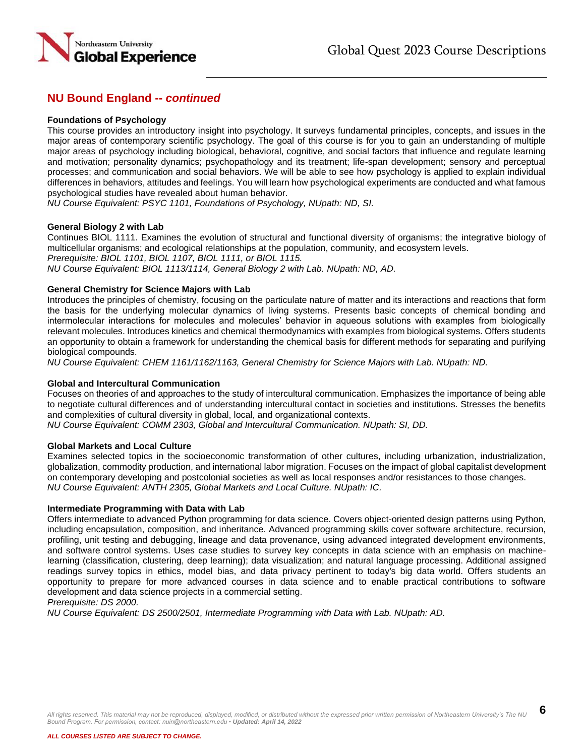

### **Foundations of Psychology**

This course provides an introductory insight into psychology. It surveys fundamental principles, concepts, and issues in the major areas of contemporary scientific psychology. The goal of this course is for you to gain an understanding of multiple major areas of psychology including biological, behavioral, cognitive, and social factors that influence and regulate learning and motivation; personality dynamics; psychopathology and its treatment; life-span development; sensory and perceptual processes; and communication and social behaviors. We will be able to see how psychology is applied to explain individual differences in behaviors, attitudes and feelings. You will learn how psychological experiments are conducted and what famous psychological studies have revealed about human behavior.

*NU Course Equivalent: PSYC 1101, Foundations of Psychology, NUpath: ND, SI.*

#### **General Biology 2 with Lab**

Continues BIOL 1111. Examines the evolution of structural and functional diversity of organisms; the integrative biology of multicellular organisms; and ecological relationships at the population, community, and ecosystem levels. *Prerequisite: BIOL 1101, BIOL 1107, BIOL 1111, or BIOL 1115.*

*NU Course Equivalent: BIOL 1113/1114, General Biology 2 with Lab. NUpath: ND, AD.*

#### **General Chemistry for Science Majors with Lab**

Introduces the principles of chemistry, focusing on the particulate nature of matter and its interactions and reactions that form the basis for the underlying molecular dynamics of living systems. Presents basic concepts of chemical bonding and intermolecular interactions for molecules and molecules' behavior in aqueous solutions with examples from biologically relevant molecules. Introduces kinetics and chemical thermodynamics with examples from biological systems. Offers students an opportunity to obtain a framework for understanding the chemical basis for different methods for separating and purifying biological compounds.

*NU Course Equivalent: CHEM 1161/1162/1163, General Chemistry for Science Majors with Lab. NUpath: ND.*

#### **Global and Intercultural Communication**

Focuses on theories of and approaches to the study of intercultural communication. Emphasizes the importance of being able to negotiate cultural differences and of understanding intercultural contact in societies and institutions. Stresses the benefits and complexities of cultural diversity in global, local, and organizational contexts.

*NU Course Equivalent: COMM 2303, Global and Intercultural Communication. NUpath: SI, DD.*

#### **Global Markets and Local Culture**

Examines selected topics in the socioeconomic transformation of other cultures, including urbanization, industrialization, globalization, commodity production, and international labor migration. Focuses on the impact of global capitalist development on contemporary developing and postcolonial societies as well as local responses and/or resistances to those changes. *NU Course Equivalent: ANTH 2305, Global Markets and Local Culture. NUpath: IC.*

#### **Intermediate Programming with Data with Lab**

Offers intermediate to advanced Python programming for data science. Covers object-oriented design patterns using Python, including encapsulation, composition, and inheritance. Advanced programming skills cover software architecture, recursion, profiling, unit testing and debugging, lineage and data provenance, using advanced integrated development environments, and software control systems. Uses case studies to survey key concepts in data science with an emphasis on machinelearning (classification, clustering, deep learning); data visualization; and natural language processing. Additional assigned readings survey topics in ethics, model bias, and data privacy pertinent to today's big data world. Offers students an opportunity to prepare for more advanced courses in data science and to enable practical contributions to software development and data science projects in a commercial setting.

*Prerequisite: DS 2000.*

*NU Course Equivalent: DS 2500/2501, Intermediate Programming with Data with Lab. NUpath: AD.*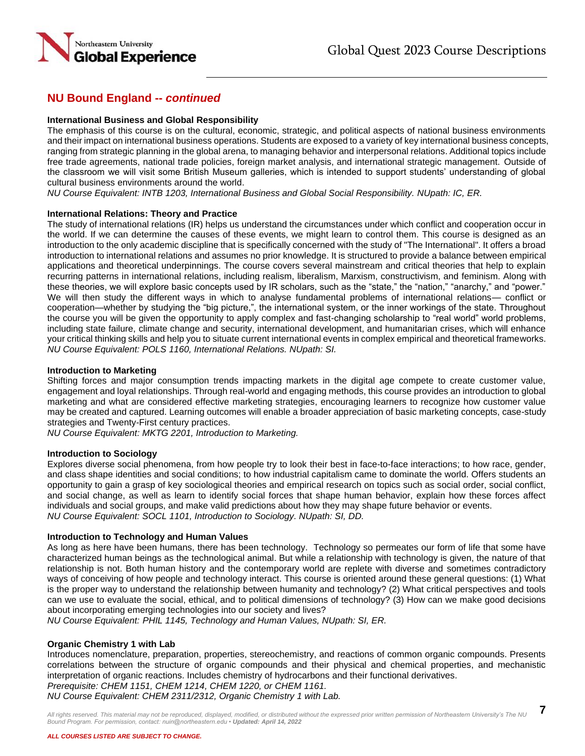

## **International Business and Global Responsibility**

The emphasis of this course is on the cultural, economic, strategic, and political aspects of national business environments and their impact on international business operations. Students are exposed to a variety of key international business concepts, ranging from strategic planning in the global arena, to managing behavior and interpersonal relations. Additional topics include free trade agreements, national trade policies, foreign market analysis, and international strategic management. Outside of the classroom we will visit some British Museum galleries, which is intended to support students' understanding of global cultural business environments around the world.

*NU Course Equivalent: INTB 1203, International Business and Global Social Responsibility. NUpath: IC, ER.*

#### **International Relations: Theory and Practice**

The study of international relations (IR) helps us understand the circumstances under which conflict and cooperation occur in the world. If we can determine the causes of these events, we might learn to control them. This course is designed as an introduction to the only academic discipline that is specifically concerned with the study of "The International". It offers a broad introduction to international relations and assumes no prior knowledge. It is structured to provide a balance between empirical applications and theoretical underpinnings. The course covers several mainstream and critical theories that help to explain recurring patterns in international relations, including realism, liberalism, Marxism, constructivism, and feminism. Along with these theories, we will explore basic concepts used by IR scholars, such as the "state," the "nation," "anarchy," and "power." We will then study the different ways in which to analyse fundamental problems of international relations— conflict or cooperation—whether by studying the "big picture,", the international system, or the inner workings of the state. Throughout the course you will be given the opportunity to apply complex and fast-changing scholarship to "real world" world problems, including state failure, climate change and security, international development, and humanitarian crises, which will enhance your critical thinking skills and help you to situate current international events in complex empirical and theoretical frameworks. *NU Course Equivalent: POLS 1160, International Relations. NUpath: SI.* 

#### **Introduction to Marketing**

Shifting forces and major consumption trends impacting markets in the digital age compete to create customer value, engagement and loyal relationships. Through real-world and engaging methods, this course provides an introduction to global marketing and what are considered effective marketing strategies, encouraging learners to recognize how customer value may be created and captured. Learning outcomes will enable a broader appreciation of basic marketing concepts, case-study strategies and Twenty-First century practices.

*NU Course Equivalent: MKTG 2201, Introduction to Marketing.* 

#### **Introduction to Sociology**

Explores diverse social phenomena, from how people try to look their best in face-to-face interactions; to how race, gender, and class shape identities and social conditions; to how industrial capitalism came to dominate the world. Offers students an opportunity to gain a grasp of key sociological theories and empirical research on topics such as social order, social conflict, and social change, as well as learn to identify social forces that shape human behavior, explain how these forces affect individuals and social groups, and make valid predictions about how they may shape future behavior or events. *NU Course Equivalent: SOCL 1101, Introduction to Sociology. NUpath: SI, DD.*

#### **Introduction to Technology and Human Values**

As long as here have been humans, there has been technology. Technology so permeates our form of life that some have characterized human beings as the technological animal. But while a relationship with technology is given, the nature of that relationship is not. Both human history and the contemporary world are replete with diverse and sometimes contradictory ways of conceiving of how people and technology interact. This course is oriented around these general questions: (1) What is the proper way to understand the relationship between humanity and technology? (2) What critical perspectives and tools can we use to evaluate the social, ethical, and to political dimensions of technology? (3) How can we make good decisions about incorporating emerging technologies into our society and lives?

*NU Course Equivalent: PHIL 1145, Technology and Human Values, NUpath: SI, ER.*

#### **Organic Chemistry 1 with Lab**

Introduces nomenclature, preparation, properties, stereochemistry, and reactions of common organic compounds. Presents correlations between the structure of organic compounds and their physical and chemical properties, and mechanistic interpretation of organic reactions. Includes chemistry of hydrocarbons and their functional derivatives. *Prerequisite: CHEM 1151, CHEM 1214, CHEM 1220, or CHEM 1161.*

*NU Course Equivalent: CHEM 2311/2312, Organic Chemistry 1 with Lab.* 

*All rights reserved. This material may not be reproduced, displayed, modified, or distributed without the expressed prior written permission of Northeastern University's The NU Bound Program. For permission, contact: nuin@northeastern.edu • Updated: April 14, 2022*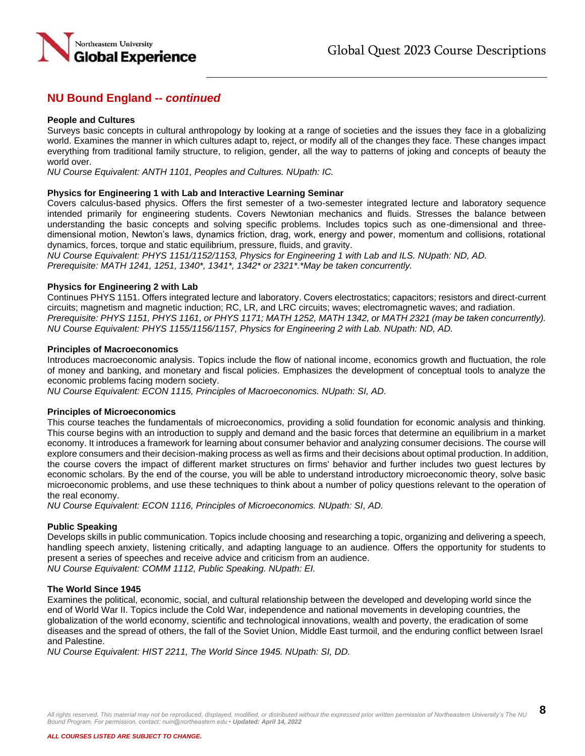

### **People and Cultures**

Surveys basic concepts in cultural anthropology by looking at a range of societies and the issues they face in a globalizing world. Examines the manner in which cultures adapt to, reject, or modify all of the changes they face. These changes impact everything from traditional family structure, to religion, gender, all the way to patterns of joking and concepts of beauty the world over.

*NU Course Equivalent: ANTH 1101, Peoples and Cultures. NUpath: IC.*

#### **Physics for Engineering 1 with Lab and Interactive Learning Seminar**

Covers calculus-based physics. Offers the first semester of a two-semester integrated lecture and laboratory sequence intended primarily for engineering students. Covers Newtonian mechanics and fluids. Stresses the balance between understanding the basic concepts and solving specific problems. Includes topics such as one-dimensional and threedimensional motion, Newton's laws, dynamics friction, drag, work, energy and power, momentum and collisions, rotational dynamics, forces, torque and static equilibrium, pressure, fluids, and gravity.

*NU Course Equivalent: PHYS 1151/1152/1153, Physics for Engineering 1 with Lab and ILS. NUpath: ND, AD. Prerequisite: MATH 1241, 1251, 1340\*, 1341\*, 1342\* or 2321\*.\*May be taken concurrently.*

#### **Physics for Engineering 2 with Lab**

Continues PHYS 1151. Offers integrated lecture and laboratory. Covers electrostatics; capacitors; resistors and direct-current circuits; magnetism and magnetic induction; RC, LR, and LRC circuits; waves; electromagnetic waves; and radiation. *Prerequisite: PHYS 1151, PHYS 1161, or PHYS 1171; MATH 1252, MATH 1342, or MATH 2321 (may be taken concurrently). NU Course Equivalent: PHYS 1155/1156/1157, Physics for Engineering 2 with Lab. NUpath: ND, AD.*

#### **Principles of Macroeconomics**

Introduces macroeconomic analysis. Topics include the flow of national income, economics growth and fluctuation, the role of money and banking, and monetary and fiscal policies. Emphasizes the development of conceptual tools to analyze the economic problems facing modern society.

*NU Course Equivalent: ECON 1115, Principles of Macroeconomics. NUpath: SI, AD.*

#### **Principles of Microeconomics**

This course teaches the fundamentals of microeconomics, providing a solid foundation for economic analysis and thinking. This course begins with an introduction to supply and demand and the basic forces that determine an equilibrium in a market economy. It introduces a framework for learning about consumer behavior and analyzing consumer decisions. The course will explore consumers and their decision-making process as well as firms and their decisions about optimal production. In addition, the course covers the impact of different market structures on firms' behavior and further includes two guest lectures by economic scholars. By the end of the course, you will be able to understand introductory microeconomic theory, solve basic microeconomic problems, and use these techniques to think about a number of policy questions relevant to the operation of the real economy.

*NU Course Equivalent: ECON 1116, Principles of Microeconomics. NUpath: SI, AD.*

#### **Public Speaking**

Develops skills in public communication. Topics include choosing and researching a topic, organizing and delivering a speech, handling speech anxiety, listening critically, and adapting language to an audience. Offers the opportunity for students to present a series of speeches and receive advice and criticism from an audience. *NU Course Equivalent: COMM 1112, Public Speaking. NUpath: EI.*

#### **The World Since 1945**

Examines the political, economic, social, and cultural relationship between the developed and developing world since the end of World War II. Topics include the Cold War, independence and national movements in developing countries, the globalization of the world economy, scientific and technological innovations, wealth and poverty, the eradication of some diseases and the spread of others, the fall of the Soviet Union, Middle East turmoil, and the enduring conflict between Israel and Palestine.

*NU Course Equivalent: HIST 2211, The World Since 1945. NUpath: SI, DD.*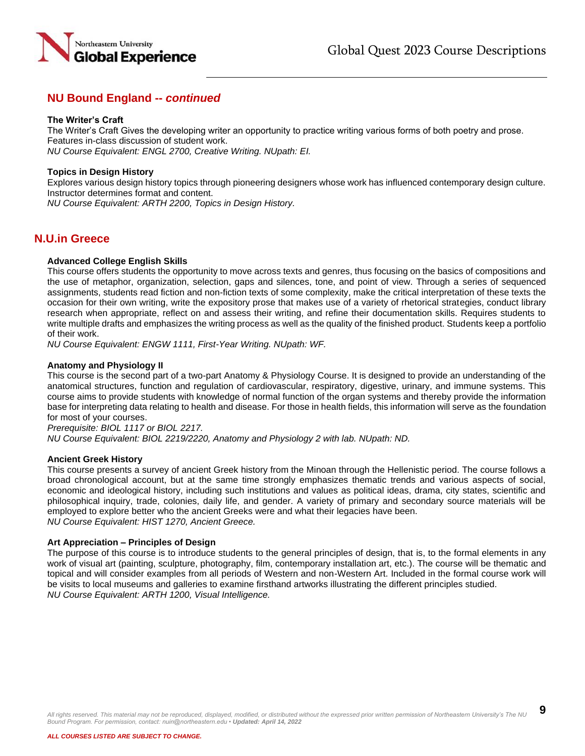

### **The Writer's Craft**

The Writer's Craft Gives the developing writer an opportunity to practice writing various forms of both poetry and prose. Features in-class discussion of student work.

*NU Course Equivalent: ENGL 2700, Creative Writing. NUpath: EI.*

## **Topics in Design History**

Explores various design history topics through pioneering designers whose work has influenced contemporary design culture. Instructor determines format and content.

*NU Course Equivalent: ARTH 2200, Topics in Design History.*

## **N.U.in Greece**

#### **Advanced College English Skills**

This course offers students the opportunity to move across texts and genres, thus focusing on the basics of compositions and the use of metaphor, organization, selection, gaps and silences, tone, and point of view. Through a series of sequenced assignments, students read fiction and non-fiction texts of some complexity, make the critical interpretation of these texts the occasion for their own writing, write the expository prose that makes use of a variety of rhetorical strategies, conduct library research when appropriate, reflect on and assess their writing, and refine their documentation skills. Requires students to write multiple drafts and emphasizes the writing process as well as the quality of the finished product. Students keep a portfolio of their work.

*NU Course Equivalent: ENGW 1111, First-Year Writing. NUpath: WF.*

#### **Anatomy and Physiology II**

This course is the second part of a two-part Anatomy & Physiology Course. It is designed to provide an understanding of the anatomical structures, function and regulation of cardiovascular, respiratory, digestive, urinary, and immune systems. This course aims to provide students with knowledge of normal function of the organ systems and thereby provide the information base for interpreting data relating to health and disease. For those in health fields, this information will serve as the foundation for most of your courses.

*Prerequisite: BIOL 1117 or BIOL 2217. NU Course Equivalent: BIOL 2219/2220, Anatomy and Physiology 2 with lab. NUpath: ND.* 

#### **Ancient Greek History**

This course presents a survey of ancient Greek history from the Minoan through the Hellenistic period. The course follows a broad chronological account, but at the same time strongly emphasizes thematic trends and various aspects of social, economic and ideological history, including such institutions and values as political ideas, drama, city states, scientific and philosophical inquiry, trade, colonies, daily life, and gender. A variety of primary and secondary source materials will be employed to explore better who the ancient Greeks were and what their legacies have been. *NU Course Equivalent: HIST 1270, Ancient Greece.*

#### **Art Appreciation – Principles of Design**

The purpose of this course is to introduce students to the general principles of design, that is, to the formal elements in any work of visual art (painting, sculpture, photography, film, contemporary installation art, etc.). The course will be thematic and topical and will consider examples from all periods of Western and non-Western Art. Included in the formal course work will be visits to local museums and galleries to examine firsthand artworks illustrating the different principles studied. *NU Course Equivalent: ARTH 1200, Visual Intelligence.*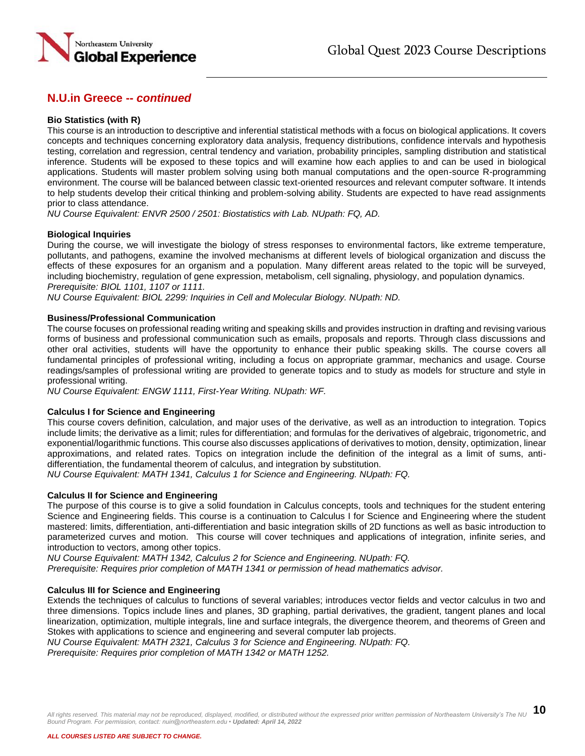

### **Bio Statistics (with R)**

This course is an introduction to descriptive and inferential statistical methods with a focus on biological applications. It covers concepts and techniques concerning exploratory data analysis, frequency distributions, confidence intervals and hypothesis testing, correlation and regression, central tendency and variation, probability principles, sampling distribution and statistical inference. Students will be exposed to these topics and will examine how each applies to and can be used in biological applications. Students will master problem solving using both manual computations and the open-source R-programming environment. The course will be balanced between classic text-oriented resources and relevant computer software. It intends to help students develop their critical thinking and problem-solving ability. Students are expected to have read assignments prior to class attendance.

*NU Course Equivalent: ENVR 2500 / 2501: Biostatistics with Lab. NUpath: FQ, AD.*

## **Biological Inquiries**

During the course, we will investigate the biology of stress responses to environmental factors, like extreme temperature, pollutants, and pathogens, examine the involved mechanisms at different levels of biological organization and discuss the effects of these exposures for an organism and a population. Many different areas related to the topic will be surveyed, including biochemistry, regulation of gene expression, metabolism, cell signaling, physiology, and population dynamics. *Prerequisite: BIOL 1101, 1107 or 1111.*

*NU Course Equivalent: BIOL 2299: Inquiries in Cell and Molecular Biology. NUpath: ND.* 

## **Business/Professional Communication**

The course focuses on professional reading writing and speaking skills and provides instruction in drafting and revising various forms of business and professional communication such as emails, proposals and reports. Through class discussions and other oral activities, students will have the opportunity to enhance their public speaking skills. The course covers all fundamental principles of professional writing, including a focus on appropriate grammar, mechanics and usage. Course readings/samples of professional writing are provided to generate topics and to study as models for structure and style in professional writing.

*NU Course Equivalent: ENGW 1111, First-Year Writing. NUpath: WF.*

#### **Calculus I for Science and Engineering**

This course covers definition, calculation, and major uses of the derivative, as well as an introduction to integration. Topics include limits; the derivative as a limit; rules for differentiation; and formulas for the derivatives of algebraic, trigonometric, and exponential/logarithmic functions. This course also discusses applications of derivatives to motion, density, optimization, linear approximations, and related rates. Topics on integration include the definition of the integral as a limit of sums, antidifferentiation, the fundamental theorem of calculus, and integration by substitution.

*NU Course Equivalent: MATH 1341, Calculus 1 for Science and Engineering. NUpath: FQ.*

#### **Calculus II for Science and Engineering**

The purpose of this course is to give a solid foundation in Calculus concepts, tools and techniques for the student entering Science and Engineering fields. This course is a continuation to Calculus I for Science and Engineering where the student mastered: limits, differentiation, anti-differentiation and basic integration skills of 2D functions as well as basic introduction to parameterized curves and motion. This course will cover techniques and applications of integration, infinite series, and introduction to vectors, among other topics.

*NU Course Equivalent: MATH 1342, Calculus 2 for Science and Engineering. NUpath: FQ. Prerequisite: Requires prior completion of MATH 1341 or permission of head mathematics advisor.*

## **Calculus III for Science and Engineering**

Extends the techniques of calculus to functions of several variables; introduces vector fields and vector calculus in two and three dimensions. Topics include lines and planes, 3D graphing, partial derivatives, the gradient, tangent planes and local linearization, optimization, multiple integrals, line and surface integrals, the divergence theorem, and theorems of Green and Stokes with applications to science and engineering and several computer lab projects.

*NU Course Equivalent: MATH 2321, Calculus 3 for Science and Engineering. NUpath: FQ.*

*Prerequisite: Requires prior completion of MATH 1342 or MATH 1252.*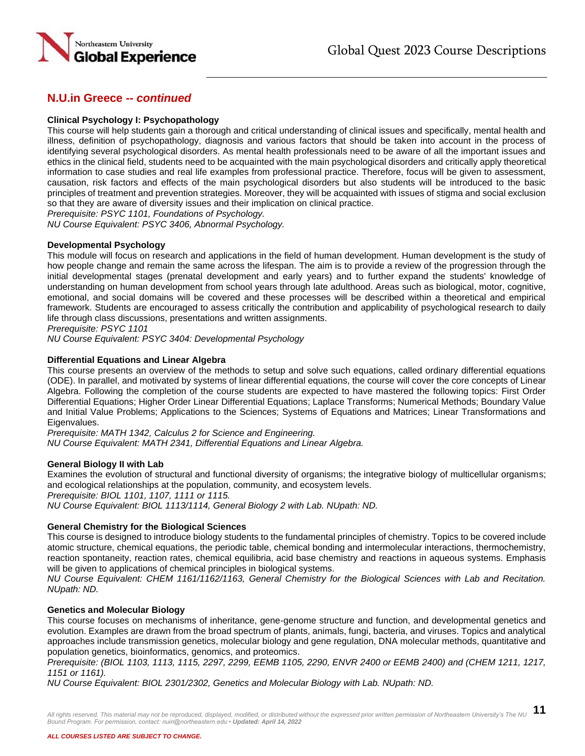

## **Clinical Psychology I: Psychopathology**

This course will help students gain a thorough and critical understanding of clinical issues and specifically, mental health and illness, definition of psychopathology, diagnosis and various factors that should be taken into account in the process of identifying several psychological disorders. As mental health professionals need to be aware of all the important issues and ethics in the clinical field, students need to be acquainted with the main psychological disorders and critically apply theoretical information to case studies and real life examples from professional practice. Therefore, focus will be given to assessment, causation, risk factors and effects of the main psychological disorders but also students will be introduced to the basic principles of treatment and prevention strategies. Moreover, they will be acquainted with issues of stigma and social exclusion so that they are aware of diversity issues and their implication on clinical practice.

*Prerequisite: PSYC 1101, Foundations of Psychology.*

*NU Course Equivalent: PSYC 3406, Abnormal Psychology.* 

## **Developmental Psychology**

This module will focus on research and applications in the field of human development. Human development is the study of how people change and remain the same across the lifespan. The aim is to provide a review of the progression through the initial developmental stages (prenatal development and early years) and to further expand the students' knowledge of understanding on human development from school years through late adulthood. Areas such as biological, motor, cognitive, emotional, and social domains will be covered and these processes will be described within a theoretical and empirical framework. Students are encouraged to assess critically the contribution and applicability of psychological research to daily life through class discussions, presentations and written assignments.

*Prerequisite: PSYC 1101*

*NU Course Equivalent: PSYC 3404: Developmental Psychology*

## **Differential Equations and Linear Algebra**

This course presents an overview of the methods to setup and solve such equations, called ordinary differential equations (ODE). In parallel, and motivated by systems of linear differential equations, the course will cover the core concepts of Linear Algebra. Following the completion of the course students are expected to have mastered the following topics: First Order Differential Equations; Higher Order Linear Differential Equations; Laplace Transforms; Numerical Methods; Boundary Value and Initial Value Problems; Applications to the Sciences; Systems of Equations and Matrices; Linear Transformations and Eigenvalues.

*Prerequisite: MATH 1342, Calculus 2 for Science and Engineering. NU Course Equivalent: MATH 2341, Differential Equations and Linear Algebra.*

#### **General Biology II with Lab**

Examines the evolution of structural and functional diversity of organisms; the integrative biology of multicellular organisms; and ecological relationships at the population, community, and ecosystem levels. *Prerequisite: BIOL 1101, 1107, 1111 or 1115.*

*NU Course Equivalent: BIOL 1113/1114, General Biology 2 with Lab. NUpath: ND.* 

## **General Chemistry for the Biological Sciences**

This course is designed to introduce biology students to the fundamental principles of chemistry. Topics to be covered include atomic structure, chemical equations, the periodic table, chemical bonding and intermolecular interactions, thermochemistry, reaction spontaneity, reaction rates, chemical equilibria, acid base chemistry and reactions in aqueous systems. Emphasis will be given to applications of chemical principles in biological systems.

*NU Course Equivalent: CHEM 1161/1162/1163, General Chemistry for the Biological Sciences with Lab and Recitation. NUpath: ND.*

## **Genetics and Molecular Biology**

This course focuses on mechanisms of inheritance, gene-genome structure and function, and developmental genetics and evolution. Examples are drawn from the broad spectrum of plants, animals, fungi, bacteria, and viruses. Topics and analytical approaches include transmission genetics, molecular biology and gene regulation, DNA molecular methods, quantitative and population genetics, bioinformatics, genomics, and proteomics.

*Prerequisite: (BIOL 1103, 1113, 1115, 2297, 2299, EEMB 1105, 2290, ENVR 2400 or EEMB 2400) and (CHEM 1211, 1217, 1151 or 1161).*

*NU Course Equivalent: BIOL 2301/2302, Genetics and Molecular Biology with Lab. NUpath: ND.*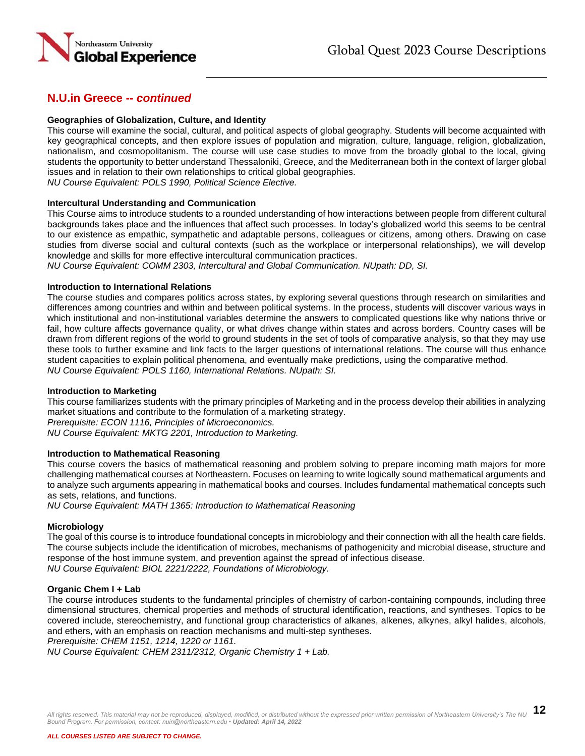

### **Geographies of Globalization, Culture, and Identity**

This course will examine the social, cultural, and political aspects of global geography. Students will become acquainted with key geographical concepts, and then explore issues of population and migration, culture, language, religion, globalization, nationalism, and cosmopolitanism. The course will use case studies to move from the broadly global to the local, giving students the opportunity to better understand Thessaloniki, Greece, and the Mediterranean both in the context of larger global issues and in relation to their own relationships to critical global geographies.

*NU Course Equivalent: POLS 1990, Political Science Elective.*

#### **Intercultural Understanding and Communication**

This Course aims to introduce students to a rounded understanding of how interactions between people from different cultural backgrounds takes place and the influences that affect such processes. In today's globalized world this seems to be central to our existence as empathic, sympathetic and adaptable persons, colleagues or citizens, among others. Drawing on case studies from diverse social and cultural contexts (such as the workplace or interpersonal relationships), we will develop knowledge and skills for more effective intercultural communication practices.

*NU Course Equivalent: COMM 2303, Intercultural and Global Communication. NUpath: DD, SI.*

#### **Introduction to International Relations**

The course studies and compares politics across states, by exploring several questions through research on similarities and differences among countries and within and between political systems. In the process, students will discover various ways in which institutional and non-institutional variables determine the answers to complicated questions like why nations thrive or fail, how culture affects governance quality, or what drives change within states and across borders. Country cases will be drawn from different regions of the world to ground students in the set of tools of comparative analysis, so that they may use these tools to further examine and link facts to the larger questions of international relations. The course will thus enhance student capacities to explain political phenomena, and eventually make predictions, using the comparative method. *NU Course Equivalent: POLS 1160, International Relations. NUpath: SI.*

#### **Introduction to Marketing**

This course familiarizes students with the primary principles of Marketing and in the process develop their abilities in analyzing market situations and contribute to the formulation of a marketing strategy. *Prerequisite: ECON 1116, Principles of Microeconomics.*

*NU Course Equivalent: MKTG 2201, Introduction to Marketing.* 

#### **Introduction to Mathematical Reasoning**

This course covers the basics of mathematical reasoning and problem solving to prepare incoming math majors for more challenging mathematical courses at Northeastern. Focuses on learning to write logically sound mathematical arguments and to analyze such arguments appearing in mathematical books and courses. Includes fundamental mathematical concepts such as sets, relations, and functions.

*NU Course Equivalent: MATH 1365: Introduction to Mathematical Reasoning*

#### **Microbiology**

The goal of this course is to introduce foundational concepts in microbiology and their connection with all the health care fields. The course subjects include the identification of microbes, mechanisms of pathogenicity and microbial disease, structure and response of the host immune system, and prevention against the spread of infectious disease. *NU Course Equivalent: BIOL 2221/2222, Foundations of Microbiology.*

#### **Organic Chem I + Lab**

The course introduces students to the fundamental principles of chemistry of carbon-containing compounds, including three dimensional structures, chemical properties and methods of structural identification, reactions, and syntheses. Topics to be covered include, stereochemistry, and functional group characteristics of alkanes, alkenes, alkynes, alkyl halides, alcohols, and ethers, with an emphasis on reaction mechanisms and multi-step syntheses.

*Prerequisite: CHEM 1151, 1214, 1220 or 1161.*

*NU Course Equivalent: CHEM 2311/2312, Organic Chemistry 1 + Lab.*